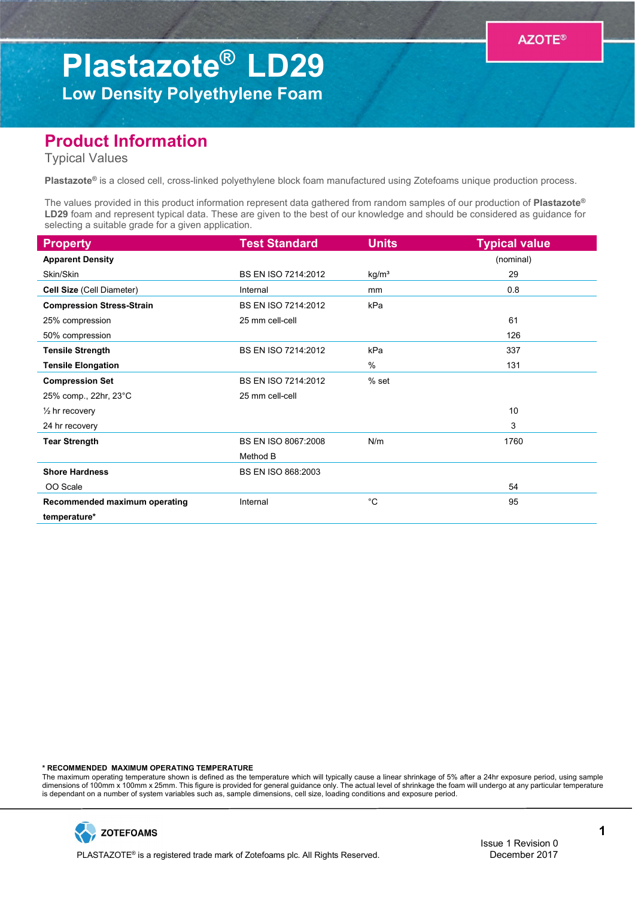## Plastazote® LD29 Low Density Polyethylene Foam

## Product Information

Typical Values

Plastazote® is a closed cell, cross-linked polyethylene block foam manufactured using Zotefoams unique production process.

The values provided in this product information represent data gathered from random samples of our production of Plastazote® LD29 foam and represent typical data. These are given to the best of our knowledge and should be considered as guidance for selecting a suitable grade for a given application.

| <b>Property</b>                  | <b>Test Standard</b> | <b>Units</b>      | <b>Typical value</b> |
|----------------------------------|----------------------|-------------------|----------------------|
| <b>Apparent Density</b>          |                      |                   | (nominal)            |
| Skin/Skin                        | BS EN ISO 7214:2012  | kg/m <sup>3</sup> | 29                   |
| Cell Size (Cell Diameter)        | Internal             | mm                | 0.8                  |
| <b>Compression Stress-Strain</b> | BS EN ISO 7214:2012  | kPa               |                      |
| 25% compression                  | 25 mm cell-cell      |                   | 61                   |
| 50% compression                  |                      |                   | 126                  |
| <b>Tensile Strength</b>          | BS EN ISO 7214:2012  | kPa               | 337                  |
| <b>Tensile Elongation</b>        |                      | %                 | 131                  |
| <b>Compression Set</b>           | BS EN ISO 7214:2012  | $%$ set           |                      |
| 25% comp., 22hr, 23°C            | 25 mm cell-cell      |                   |                      |
| $\frac{1}{2}$ hr recovery        |                      |                   | 10                   |
| 24 hr recovery                   |                      |                   | 3                    |
| <b>Tear Strength</b>             | BS EN ISO 8067:2008  | N/m               | 1760                 |
|                                  | Method B             |                   |                      |
| <b>Shore Hardness</b>            | BS EN ISO 868:2003   |                   |                      |
| OO Scale                         |                      |                   | 54                   |
| Recommended maximum operating    | Internal             | $^{\circ}C$       | 95                   |
| temperature*                     |                      |                   |                      |

\* RECOMMENDED MAXIMUM OPERATING TEMPERATURE

The maximum operating temperature shown is defined as the temperature which will typically cause a linear shrinkage of 5% after a 24hr exposure period, using sample dimensions of 100mm x 100mm x 25mm. This figure is provided for general guidance only. The actual level of shrinkage the foam will undergo at any particular temperature is dependant on a number of system variables such as, sample dimensions, cell size, loading conditions and exposure period.